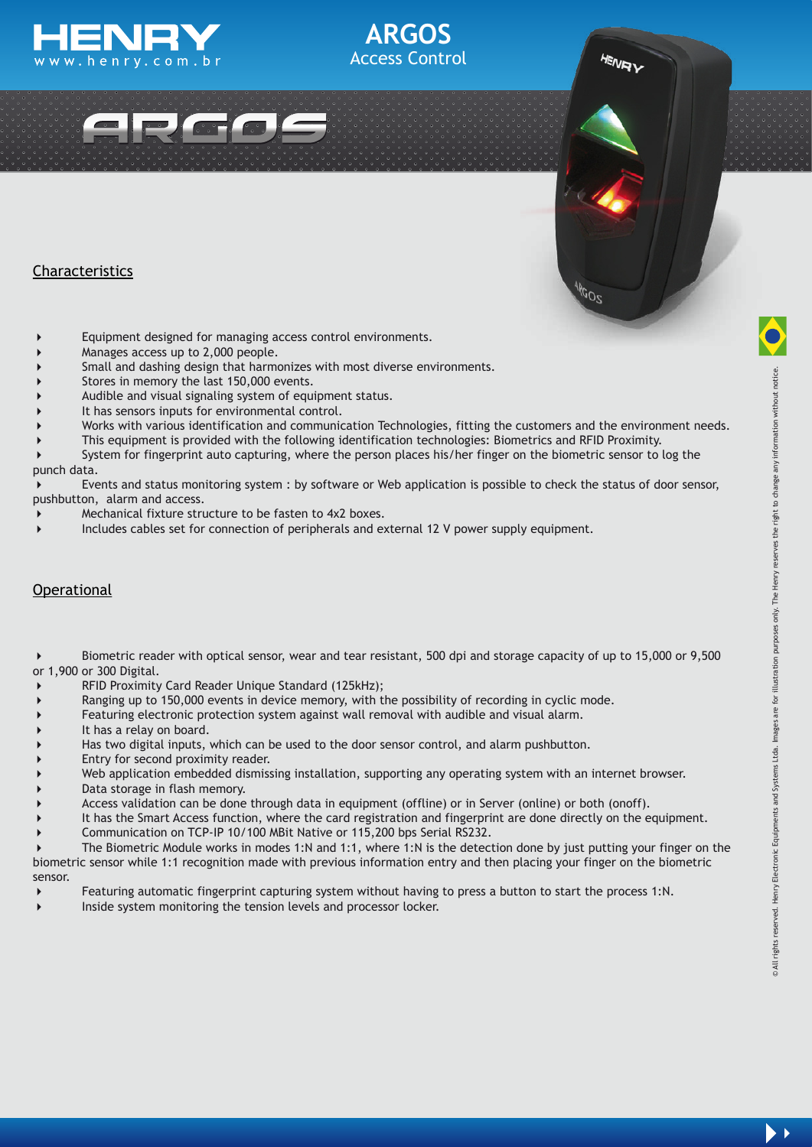



# Characteristics

- Equipment designed for managing access control environments.
- Manages access up to 2,000 people.
- Small and dashing design that harmonizes with most diverse environments.
- Stores in memory the last 150,000 events.
- Audible and visual signaling system of equipment status.
- It has sensors inputs for environmental control.
- Works with various identification and communication Technologies, fitting the customers and the environment needs.

 $z^{O\bar{D}^\theta}$ 

**ARGOS** Access Control

- This equipment is provided with the following identification technologies: Biometrics and RFID Proximity.
- System for fingerprint auto capturing, where the person places his/her finger on the biometric sensor to log the punch data.

 Events and status monitoring system : by software or Web application is possible to check the status of door sensor, pushbutton, alarm and access.

- Mechanical fixture structure to be fasten to 4x2 boxes.
- Includes cables set for connection of peripherals and external 12 V power supply equipment.

### **Operational**

 Biometric reader with optical sensor, wear and tear resistant, 500 dpi and storage capacity of up to 15,000 or 9,500 or 1,900 or 300 Digital.

- RFID Proximity Card Reader Unique Standard (125kHz);
- Ranging up to 150,000 events in device memory, with the possibility of recording in cyclic mode.
- Featuring electronic protection system against wall removal with audible and visual alarm.
- It has a relay on board.
- Has two digital inputs, which can be used to the door sensor control, and alarm pushbutton.
- Entry for second proximity reader.
- Web application embedded dismissing installation, supporting any operating system with an internet browser.
- Data storage in flash memory.
- Access validation can be done through data in equipment (offline) or in Server (online) or both (onoff).
- It has the Smart Access function, where the card registration and fingerprint are done directly on the equipment.
- Communication on TCP-IP 10/100 MBit Native or 115,200 bps Serial RS232.

 The Biometric Module works in modes 1:N and 1:1, where 1:N is the detection done by just putting your finger on the biometric sensor while 1:1 recognition made with previous information entry and then placing your finger on the biometric sensor.

- Featuring automatic fingerprint capturing system without having to press a button to start the process 1:N.
- Inside system monitoring the tension levels and processor locker.